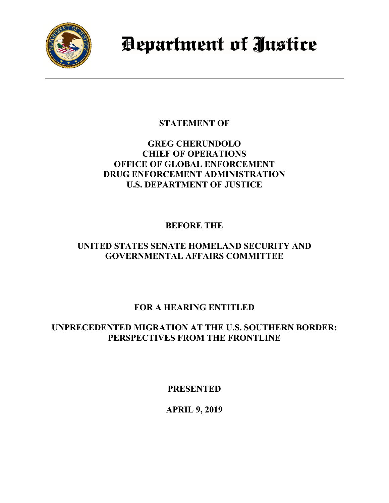

Department of Justice

**STATEMENT OF**

## **GREG CHERUNDOLO CHIEF OF OPERATIONS OFFICE OF GLOBAL ENFORCEMENT DRUG ENFORCEMENT ADMINISTRATION U.S. DEPARTMENT OF JUSTICE**

**BEFORE THE**

## **UNITED STATES SENATE HOMELAND SECURITY AND GOVERNMENTAL AFFAIRS COMMITTEE**

# **FOR A HEARING ENTITLED**

## **UNPRECEDENTED MIGRATION AT THE U.S. SOUTHERN BORDER: PERSPECTIVES FROM THE FRONTLINE**

**PRESENTED**

**APRIL 9, 2019**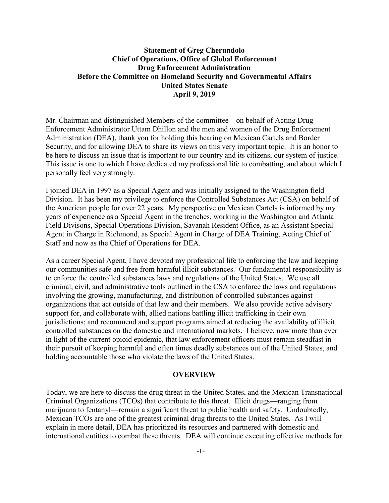## **Statement of Greg Cherundolo Chief of Operations, Office of Global Enforcement Drug Enforcement Administration Before the Committee on Homeland Security and Governmental Affairs United States Senate April 9, 2019**

Mr. Chairman and distinguished Members of the committee – on behalf of Acting Drug Enforcement Administrator Uttam Dhillon and the men and women of the Drug Enforcement Administration (DEA), thank you for holding this hearing on Mexican Cartels and Border Security, and for allowing DEA to share its views on this very important topic. It is an honor to be here to discuss an issue that is important to our country and its citizens, our system of justice. This issue is one to which I have dedicated my professional life to combatting, and about which I personally feel very strongly.

I joined DEA in 1997 as a Special Agent and was initially assigned to the Washington field Division. It has been my privilege to enforce the Controlled Substances Act (CSA) on behalf of the American people for over 22 years. My perspective on Mexican Cartels is informed by my years of experience as a Special Agent in the trenches, working in the Washington and Atlanta Field Divisons, Special Operations Division, Savanah Resident Office, as an Assistant Special Agent in Charge in Richmond, as Special Agent in Charge of DEA Training, Acting Chief of Staff and now as the Chief of Operations for DEA.

As a career Special Agent, I have devoted my professional life to enforcing the law and keeping our communities safe and free from harmful illicit substances. Our fundamental responsibility is to enforce the controlled substances laws and regulations of the United States. We use all criminal, civil, and administrative tools outlined in the CSA to enforce the laws and regulations involving the growing, manufacturing, and distribution of controlled substances against organizations that act outside of that law and their members. We also provide active advisory support for, and collaborate with, allied nations battling illicit trafficking in their own jurisdictions; and recommend and support programs aimed at reducing the availability of illicit controlled substances on the domestic and international markets. I believe, now more than ever in light of the current opioid epidemic, that law enforcement officers must remain steadfast in their pursuit of keeping harmful and often times deadly substances out of the United States, and holding accountable those who violate the laws of the United States.

#### **OVERVIEW**

Today, we are here to discuss the drug threat in the United States, and the Mexican Transnational Criminal Organizations (TCOs) that contribute to this threat. Illicit drugs—ranging from marijuana to fentanyl—remain a significant threat to public health and safety. Undoubtedly, Mexican TCOs are one of the greatest criminal drug threats to the United States. As I will explain in more detail, DEA has prioritized its resources and partnered with domestic and international entities to combat these threats. DEA will continue executing effective methods for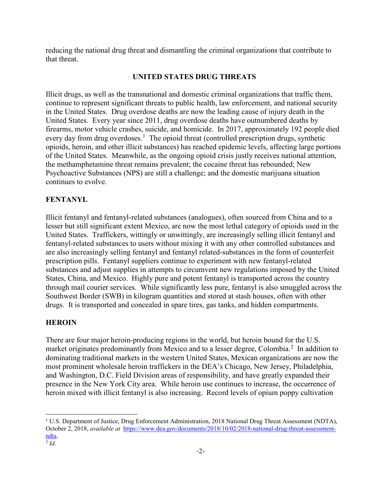reducing the national drug threat and dismantling the criminal organizations that contribute to that threat.

#### **UNITED STATES DRUG THREATS**

Illicit drugs, as well as the transnational and domestic criminal organizations that traffic them, continue to represent significant threats to public health, law enforcement, and national security in the United States. Drug overdose deaths are now the leading cause of injury death in the United States. Every year since 2011, drug overdose deaths have outnumbered deaths by firearms, motor vehicle crashes, suicide, and homicide. In 2017, approximately 192 people died every day from drug overdoses.<sup>[1](#page-2-0)</sup> The opioid threat (controlled prescription drugs, synthetic opioids, heroin, and other illicit substances) has reached epidemic levels, affecting large portions of the United States. Meanwhile, as the ongoing opioid crisis justly receives national attention, the methamphetamine threat remains prevalent; the cocaine threat has rebounded; New Psychoactive Substances (NPS) are still a challenge; and the domestic marijuana situation continues to evolve.

## **FENTANYL**

Illicit fentanyl and fentanyl-related substances (analogues), often sourced from China and to a lesser but still significant extent Mexico, are now the most lethal category of opioids used in the United States. Traffickers, wittingly or unwittingly, are increasingly selling illicit fentanyl and fentanyl-related substances to users without mixing it with any other controlled substances and are also increasingly selling fentanyl and fentanyl related-substances in the form of counterfeit prescription pills. Fentanyl suppliers continue to experiment with new fentanyl-related substances and adjust supplies in attempts to circumvent new regulations imposed by the United States, China, and Mexico. Highly pure and potent fentanyl is transported across the country through mail courier services. While significantly less pure, fentanyl is also smuggled across the Southwest Border (SWB) in kilogram quantities and stored at stash houses, often with other drugs. It is transported and concealed in spare tires, gas tanks, and hidden compartments.

#### **HEROIN**

 $\overline{a}$ 

There are four major heroin-producing regions in the world, but heroin bound for the U.S. market originates predominantly from Mexico and to a lesser degree, Colombia.<sup>[2](#page-2-1)</sup> In addition to dominating traditional markets in the western United States, Mexican organizations are now the most prominent wholesale heroin traffickers in the DEA's Chicago, New Jersey, Philadelphia, and Washington, D.C. Field Division areas of responsibility, and have greatly expanded their presence in the New York City area. While heroin use continues to increase, the occurrence of heroin mixed with illicit fentanyl is also increasing. Record levels of opium poppy cultivation

-2-

<span id="page-2-1"></span><span id="page-2-0"></span><sup>&</sup>lt;sup>1</sup> U.S. Department of Justice, Drug Enforcement Administration, 2018 National Drug Threat Assessment (NDTA), October 2, 2018, *available at* [https://www.dea.gov/documents/2018/10/02/2018-national-drug-threat-assessment-](https://www.dea.gov/documents/2018/10/02/2018-national-drug-threat-assessment-ndta)<u>ndta</u>. <sup>2</sup> *Id.*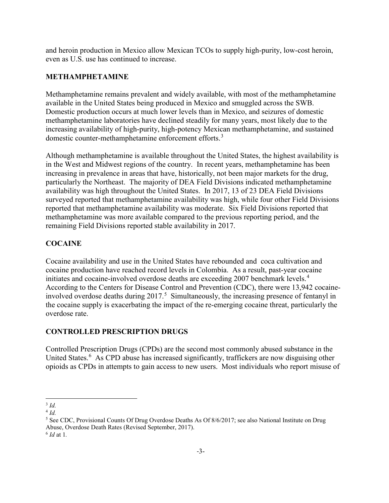and heroin production in Mexico allow Mexican TCOs to supply high-purity, low-cost heroin, even as U.S. use has continued to increase.

## **METHAMPHETAMINE**

Methamphetamine remains prevalent and widely available, with most of the methamphetamine available in the United States being produced in Mexico and smuggled across the SWB. Domestic production occurs at much lower levels than in Mexico, and seizures of domestic methamphetamine laboratories have declined steadily for many years, most likely due to the increasing availability of high-purity, high-potency Mexican methamphetamine, and sustained domestic counter-methamphetamine enforcement efforts.<sup>[3](#page-3-0)</sup>

Although methamphetamine is available throughout the United States, the highest availability is in the West and Midwest regions of the country. In recent years, methamphetamine has been increasing in prevalence in areas that have, historically, not been major markets for the drug, particularly the Northeast. The majority of DEA Field Divisions indicated methamphetamine availability was high throughout the United States. In 2017, 13 of 23 DEA Field Divisions surveyed reported that methamphetamine availability was high, while four other Field Divisions reported that methamphetamine availability was moderate. Six Field Divisions reported that methamphetamine was more available compared to the previous reporting period, and the remaining Field Divisions reported stable availability in 2017.

## **COCAINE**

Cocaine availability and use in the United States have rebounded and coca cultivation and cocaine production have reached record levels in Colombia. As a result, past-year cocaine initiates and cocaine-involved overdose deaths are exceeding 2007 benchmark levels. [4](#page-3-1) According to the Centers for Disease Control and Prevention (CDC), there were 13,942 cocaineinvolved overdose deaths during 2017. [5](#page-3-2) Simultaneously, the increasing presence of fentanyl in the cocaine supply is exacerbating the impact of the re-emerging cocaine threat, particularly the overdose rate.

## **CONTROLLED PRESCRIPTION DRUGS**

Controlled Prescription Drugs (CPDs) are the second most commonly abused substance in the United States.<sup>[6](#page-3-3)</sup> As CPD abuse has increased significantly, traffickers are now disguising other opioids as CPDs in attempts to gain access to new users. Most individuals who report misuse of

l <sup>3</sup> *Id.*

<span id="page-3-1"></span><span id="page-3-0"></span><sup>4</sup> *Id.*

<span id="page-3-2"></span><sup>&</sup>lt;sup>5</sup> See CDC, Provisional Counts Of Drug Overdose Deaths As Of 8/6/2017; see also National Institute on Drug Abuse, Overdose Death Rates (Revised September, 2017).

<span id="page-3-3"></span><sup>6</sup> *Id* at 1*.*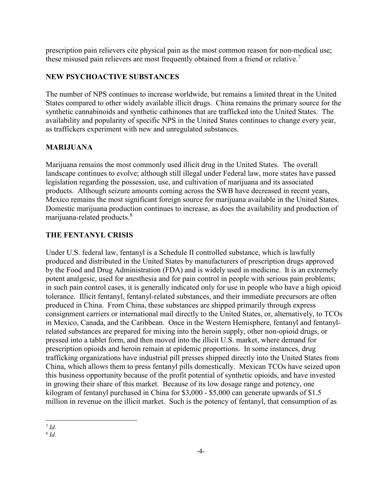prescription pain relievers cite physical pain as the most common reason for non-medical use; these misused pain relievers are most frequently obtained from a friend or relative.<sup>[7](#page-4-0)</sup>

## **NEW PSYCHOACTIVE SUBSTANCES**

The number of NPS continues to increase worldwide, but remains a limited threat in the United States compared to other widely available illicit drugs. China remains the primary source for the synthetic cannabinoids and synthetic cathinones that are trafficked into the United States. The availability and popularity of specific NPS in the United States continues to change every year, as traffickers experiment with new and unregulated substances.

### **MARIJUANA**

Marijuana remains the most commonly used illicit drug in the United States. The overall landscape continues to evolve; although still illegal under Federal law, more states have passed legislation regarding the possession, use, and cultivation of marijuana and its associated products. Although seizure amounts coming across the SWB have decreased in recent years, Mexico remains the most significant foreign source for marijuana available in the United States. Domestic marijuana production continues to increase, as does the availability and production of marijuana-related products. $^8$  $^8$ 

#### **THE FENTANYL CRISIS**

Under U.S. federal law, fentanyl is a Schedule II controlled substance, which is lawfully produced and distributed in the United States by manufacturers of prescription drugs approved by the Food and Drug Administration (FDA) and is widely used in medicine. It is an extremely potent analgesic, used for anesthesia and for pain control in people with serious pain problems; in such pain control cases, it is generally indicated only for use in people who have a high opioid tolerance. Illicit fentanyl, fentanyl-related substances, and their immediate precursors are often produced in China. From China, these substances are shipped primarily through express consignment carriers or international mail directly to the United States, or, alternatively, to TCOs in Mexico, Canada, and the Caribbean. Once in the Western Hemisphere, fentanyl and fentanylrelated substances are prepared for mixing into the heroin supply, other non-opioid drugs, or pressed into a tablet form, and then moved into the illicit U.S. market, where demand for prescription opioids and heroin remain at epidemic proportions. In some instances, drug trafficking organizations have industrial pill presses shipped directly into the United States from China, which allows them to press fentanyl pills domestically. Mexican TCOs have seized upon this business opportunity because of the profit potential of synthetic opioids, and have invested in growing their share of this market. Because of its low dosage range and potency, one kilogram of fentanyl purchased in China for \$3,000 - \$5,000 can generate upwards of \$1.5 million in revenue on the illicit market. Such is the potency of fentanyl, that consumption of as

l <sup>7</sup> *Id.*

<span id="page-4-1"></span><span id="page-4-0"></span><sup>8</sup> *Id.*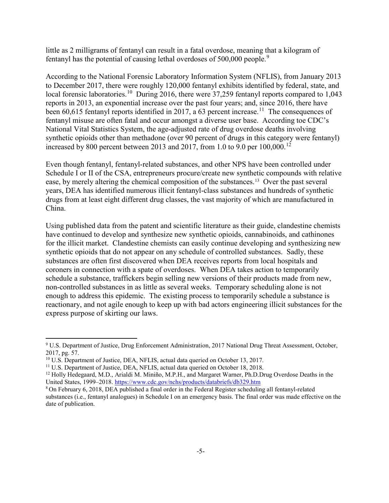little as 2 milligrams of fentanyl can result in a fatal overdose, meaning that a kilogram of fentanyl has the potential of causing lethal overdoses of 500,000 people.<sup>[9](#page-5-0)</sup>

According to the National Forensic Laboratory Information System (NFLIS), from January 2013 to December 2017, there were roughly 120,000 fentanyl exhibits identified by federal, state, and local forensic laboratories.<sup>[10](#page-5-1)</sup> During 2016, there were 37,259 fentanyl reports compared to 1,043 reports in 2013, an exponential increase over the past four years; and, since 2016, there have been 60,615 fentanyl reports identified in 2017, a 63 percent increase.<sup>[11](#page-5-2)</sup> The consequences of fentanyl misuse are often fatal and occur amongst a diverse user base. According toe CDC's National Vital Statistics System, the age-adjusted rate of drug overdose deaths involving synthetic opioids other than methadone (over 90 percent of drugs in this category were fentanyl) increased by 800 percent between 2013 and 2017, from 1.0 to 9.0 per  $100,000$ .<sup>[12](#page-5-3)</sup>

Even though fentanyl, fentanyl-related substances, and other NPS have been controlled under Schedule I or II of the CSA, entrepreneurs procure/create new synthetic compounds with relative ease, by merely altering the chemical composition of the substances. [13](#page-5-4) Over the past several years, DEA has identified numerous illicit fentanyl-class substances and hundreds of synthetic drugs from at least eight different drug classes, the vast majority of which are manufactured in China.

Using published data from the patent and scientific literature as their guide, clandestine chemists have continued to develop and synthesize new synthetic opioids, cannabinoids, and cathinones for the illicit market. Clandestine chemists can easily continue developing and synthesizing new synthetic opioids that do not appear on any schedule of controlled substances. Sadly, these substances are often first discovered when DEA receives reports from local hospitals and coroners in connection with a spate of overdoses. When DEA takes action to temporarily schedule a substance, traffickers begin selling new versions of their products made from new, non-controlled substances in as little as several weeks. Temporary scheduling alone is not enough to address this epidemic. The existing process to temporarily schedule a substance is reactionary, and not agile enough to keep up with bad actors engineering illicit substances for the express purpose of skirting our laws.

l

<span id="page-5-0"></span><sup>9</sup> U.S. Department of Justice, Drug Enforcement Administration, 2017 National Drug Threat Assessment, October, 2017, pg. 57.

<span id="page-5-1"></span><sup>&</sup>lt;sup>10</sup> U.S. Department of Justice, DEA, NFLIS, actual data queried on October 13, 2017.

<span id="page-5-2"></span><sup>&</sup>lt;sup>11</sup> U.S. Department of Justice, DEA, NFLIS, actual data queried on October 18, 2018.

<span id="page-5-3"></span><sup>12</sup> Holly Hedegaard, M.D., Arialdi M. Miniño, M.P.H., and Margaret Warner, Ph.D.Drug Overdose Deaths in the United States, 1999–2018[. https://www.cdc.gov/nchs/products/databriefs/db329.htm](https://www.cdc.gov/nchs/products/databriefs/db329.htm)

<span id="page-5-4"></span><sup>8</sup> On February 6, 2018, DEA published a final order in the Federal Register scheduling all fentanyl-related substances (i.e., fentanyl analogues) in Schedule I on an emergency basis. The final order was made effective on the date of publication.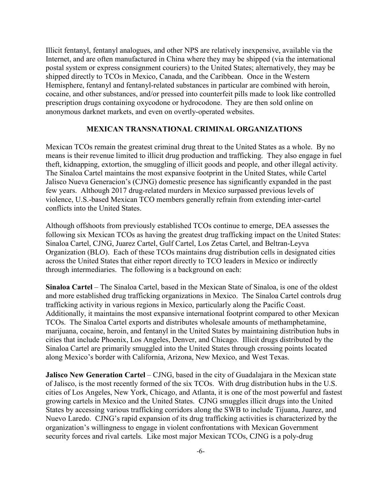Illicit fentanyl, fentanyl analogues, and other NPS are relatively inexpensive, available via the Internet, and are often manufactured in China where they may be shipped (via the international postal system or express consignment couriers) to the United States; alternatively, they may be shipped directly to TCOs in Mexico, Canada, and the Caribbean. Once in the Western Hemisphere, fentanyl and fentanyl-related substances in particular are combined with heroin, cocaine, and other substances, and/or pressed into counterfeit pills made to look like controlled prescription drugs containing oxycodone or hydrocodone. They are then sold online on anonymous darknet markets, and even on overtly-operated websites.

#### **MEXICAN TRANSNATIONAL CRIMINAL ORGANIZATIONS**

Mexican TCOs remain the greatest criminal drug threat to the United States as a whole. By no means is their revenue limited to illicit drug production and trafficking. They also engage in fuel theft, kidnapping, extortion, the smuggling of illicit goods and people, and other illegal activity. The Sinaloa Cartel maintains the most expansive footprint in the United States, while Cartel Jalisco Nueva Generacion's (CJNG) domestic presence has significantly expanded in the past few years. Although 2017 drug-related murders in Mexico surpassed previous levels of violence, U.S.-based Mexican TCO members generally refrain from extending inter-cartel conflicts into the United States.

Although offshoots from previously established TCOs continue to emerge, DEA assesses the following six Mexican TCOs as having the greatest drug trafficking impact on the United States: Sinaloa Cartel, CJNG, Juarez Cartel, Gulf Cartel, Los Zetas Cartel, and Beltran-Leyva Organization (BLO). Each of these TCOs maintains drug distribution cells in designated cities across the United States that either report directly to TCO leaders in Mexico or indirectly through intermediaries. The following is a background on each:

**Sinaloa Cartel** – The Sinaloa Cartel, based in the Mexican State of Sinaloa, is one of the oldest and more established drug trafficking organizations in Mexico. The Sinaloa Cartel controls drug trafficking activity in various regions in Mexico, particularly along the Pacific Coast. Additionally, it maintains the most expansive international footprint compared to other Mexican TCOs. The Sinaloa Cartel exports and distributes wholesale amounts of methamphetamine, marijuana, cocaine, heroin, and fentanyl in the United States by maintaining distribution hubs in cities that include Phoenix, Los Angeles, Denver, and Chicago. Illicit drugs distributed by the Sinaloa Cartel are primarily smuggled into the United States through crossing points located along Mexico's border with California, Arizona, New Mexico, and West Texas.

**Jalisco New Generation Cartel – CJNG, based in the city of Guadalajara in the Mexican state** of Jalisco, is the most recently formed of the six TCOs. With drug distribution hubs in the U.S. cities of Los Angeles, New York, Chicago, and Atlanta, it is one of the most powerful and fastest growing cartels in Mexico and the United States. CJNG smuggles illicit drugs into the United States by accessing various trafficking corridors along the SWB to include Tijuana, Juarez, and Nuevo Laredo. CJNG's rapid expansion of its drug trafficking activities is characterized by the organization's willingness to engage in violent confrontations with Mexican Government security forces and rival cartels. Like most major Mexican TCOs, CJNG is a poly-drug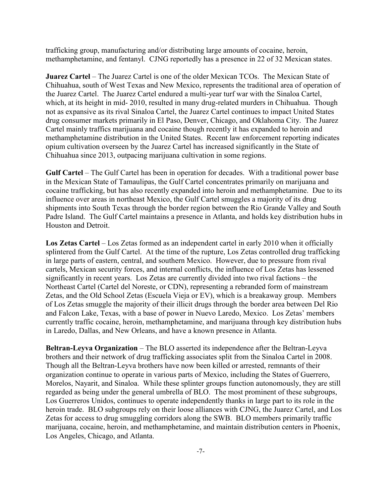trafficking group, manufacturing and/or distributing large amounts of cocaine, heroin, methamphetamine, and fentanyl. CJNG reportedly has a presence in 22 of 32 Mexican states.

**Juarez Cartel** – The Juarez Cartel is one of the older Mexican TCOs. The Mexican State of Chihuahua, south of West Texas and New Mexico, represents the traditional area of operation of the Juarez Cartel. The Juarez Cartel endured a multi-year turf war with the Sinaloa Cartel, which, at its height in mid- 2010, resulted in many drug-related murders in Chihuahua. Though not as expansive as its rival Sinaloa Cartel, the Juarez Cartel continues to impact United States drug consumer markets primarily in El Paso, Denver, Chicago, and Oklahoma City. The Juarez Cartel mainly traffics marijuana and cocaine though recently it has expanded to heroin and methamphetamine distribution in the United States. Recent law enforcement reporting indicates opium cultivation overseen by the Juarez Cartel has increased significantly in the State of Chihuahua since 2013, outpacing marijuana cultivation in some regions.

Gulf Cartel – The Gulf Cartel has been in operation for decades. With a traditional power base in the Mexican State of Tamaulipas, the Gulf Cartel concentrates primarily on marijuana and cocaine trafficking, but has also recently expanded into heroin and methamphetamine. Due to its influence over areas in northeast Mexico, the Gulf Cartel smuggles a majority of its drug shipments into South Texas through the border region between the Rio Grande Valley and South Padre Island. The Gulf Cartel maintains a presence in Atlanta, and holds key distribution hubs in Houston and Detroit.

**Los Zetas Cartel** – Los Zetas formed as an independent cartel in early 2010 when it officially splintered from the Gulf Cartel. At the time of the rupture, Los Zetas controlled drug trafficking in large parts of eastern, central, and southern Mexico. However, due to pressure from rival cartels, Mexican security forces, and internal conflicts, the influence of Los Zetas has lessened significantly in recent years. Los Zetas are currently divided into two rival factions – the Northeast Cartel (Cartel del Noreste, or CDN), representing a rebranded form of mainstream Zetas, and the Old School Zetas (Escuela Vieja or EV), which is a breakaway group. Members of Los Zetas smuggle the majority of their illicit drugs through the border area between Del Rio and Falcon Lake, Texas, with a base of power in Nuevo Laredo, Mexico. Los Zetas' members currently traffic cocaine, heroin, methamphetamine, and marijuana through key distribution hubs in Laredo, Dallas, and New Orleans, and have a known presence in Atlanta.

**Beltran-Leyva Organization** – The BLO asserted its independence after the Beltran-Leyva brothers and their network of drug trafficking associates split from the Sinaloa Cartel in 2008. Though all the Beltran-Leyva brothers have now been killed or arrested, remnants of their organization continue to operate in various parts of Mexico, including the States of Guerrero, Morelos, Nayarit, and Sinaloa. While these splinter groups function autonomously, they are still regarded as being under the general umbrella of BLO. The most prominent of these subgroups, Los Guerreros Unidos, continues to operate independently thanks in large part to its role in the heroin trade. BLO subgroups rely on their loose alliances with CJNG, the Juarez Cartel, and Los Zetas for access to drug smuggling corridors along the SWB. BLO members primarily traffic marijuana, cocaine, heroin, and methamphetamine, and maintain distribution centers in Phoenix, Los Angeles, Chicago, and Atlanta.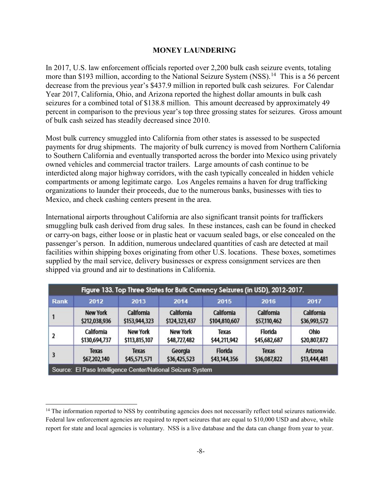### **MONEY LAUNDERING**

In 2017, U.S. law enforcement officials reported over 2,200 bulk cash seizure events, totaling more than \$193 million, according to the National Seizure System (NSS).<sup>[14](#page-8-0)</sup> This is a 56 percent decrease from the previous year's \$437.9 million in reported bulk cash seizures. For Calendar Year 2017, California, Ohio, and Arizona reported the highest dollar amounts in bulk cash seizures for a combined total of \$138.8 million. This amount decreased by approximately 49 percent in comparison to the previous year's top three grossing states for seizures. Gross amount of bulk cash seized has steadily decreased since 2010.

Most bulk currency smuggled into California from other states is assessed to be suspected payments for drug shipments. The majority of bulk currency is moved from Northern California to Southern California and eventually transported across the border into Mexico using privately owned vehicles and commercial tractor trailers. Large amounts of cash continue to be interdicted along major highway corridors, with the cash typically concealed in hidden vehicle compartments or among legitimate cargo. Los Angeles remains a haven for drug trafficking organizations to launder their proceeds, due to the numerous banks, businesses with ties to Mexico, and check cashing centers present in the area.

International airports throughout California are also significant transit points for traffickers smuggling bulk cash derived from drug sales. In these instances, cash can be found in checked or carry-on bags, either loose or in plastic heat or vacuum sealed bags, or else concealed on the passenger's person. In addition, numerous undeclared quantities of cash are detected at mail facilities within shipping boxes originating from other U.S. locations. These boxes, sometimes supplied by the mail service, delivery businesses or express consignment services are then shipped via ground and air to destinations in California.

| Figure 133. Top Three States for Bulk Currency Seizures (in USD), 2012-2017. |                 |                 |                   |               |              |              |
|------------------------------------------------------------------------------|-----------------|-----------------|-------------------|---------------|--------------|--------------|
| Rank                                                                         | 2012            | 2013            | 2014              | 2015          | 2016         | 2017         |
| $\mathbf{1}$                                                                 | <b>New York</b> | California      | <b>California</b> | California    | California   | California   |
|                                                                              | \$212,038,936   | \$153,944,323   | \$124,323,437     | \$104,810,607 | \$57,110,462 | \$36,993,572 |
| $\overline{2}$                                                               | California      | <b>New York</b> | <b>New York</b>   | Texas         | Florida      | Ohio         |
|                                                                              | \$130,694,737   | \$113,815,107   | \$48,727,482      | \$44,211,942  | \$45,682,687 | \$20,807,872 |
| 3                                                                            | <b>Texas</b>    | <b>Texas</b>    | Georgia           | Florida       | <b>Texas</b> | Arizona      |
|                                                                              | \$67,202,140    | \$45,571,571    | \$36,425,523      | \$43,144,356  | \$36,087,822 | \$13,444,481 |
| Source: El Paso Intelligence Center/National Seizure System                  |                 |                 |                   |               |              |              |

 $\overline{\phantom{a}}$ 

<span id="page-8-0"></span><sup>&</sup>lt;sup>14</sup> The information reported to NSS by contributing agencies does not necessarily reflect total seizures nationwide. Federal law enforcement agencies are required to report seizures that are equal to \$10,000 USD and above, while report for state and local agencies is voluntary. NSS is a live database and the data can change from year to year.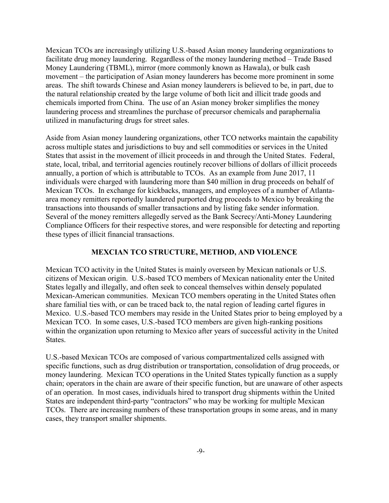Mexican TCOs are increasingly utilizing U.S.-based Asian money laundering organizations to facilitate drug money laundering. Regardless of the money laundering method – Trade Based Money Laundering (TBML), mirror (more commonly known as Hawala), or bulk cash movement – the participation of Asian money launderers has become more prominent in some areas. The shift towards Chinese and Asian money launderers is believed to be, in part, due to the natural relationship created by the large volume of both licit and illicit trade goods and chemicals imported from China. The use of an Asian money broker simplifies the money laundering process and streamlines the purchase of precursor chemicals and paraphernalia utilized in manufacturing drugs for street sales.

Aside from Asian money laundering organizations, other TCO networks maintain the capability across multiple states and jurisdictions to buy and sell commodities or services in the United States that assist in the movement of illicit proceeds in and through the United States. Federal, state, local, tribal, and territorial agencies routinely recover billions of dollars of illicit proceeds annually, a portion of which is attributable to TCOs. As an example from June 2017, 11 individuals were charged with laundering more than \$40 million in drug proceeds on behalf of Mexican TCOs. In exchange for kickbacks, managers, and employees of a number of Atlantaarea money remitters reportedly laundered purported drug proceeds to Mexico by breaking the transactions into thousands of smaller transactions and by listing fake sender information. Several of the money remitters allegedly served as the Bank Secrecy/Anti-Money Laundering Compliance Officers for their respective stores, and were responsible for detecting and reporting these types of illicit financial transactions.

### **MEXCIAN TCO STRUCTURE, METHOD, AND VIOLENCE**

Mexican TCO activity in the United States is mainly overseen by Mexican nationals or U.S. citizens of Mexican origin. U.S.-based TCO members of Mexican nationality enter the United States legally and illegally, and often seek to conceal themselves within densely populated Mexican-American communities. Mexican TCO members operating in the United States often share familial ties with, or can be traced back to, the natal region of leading cartel figures in Mexico. U.S.-based TCO members may reside in the United States prior to being employed by a Mexican TCO. In some cases, U.S.-based TCO members are given high-ranking positions within the organization upon returning to Mexico after years of successful activity in the United States.

U.S.-based Mexican TCOs are composed of various compartmentalized cells assigned with specific functions, such as drug distribution or transportation, consolidation of drug proceeds, or money laundering. Mexican TCO operations in the United States typically function as a supply chain; operators in the chain are aware of their specific function, but are unaware of other aspects of an operation. In most cases, individuals hired to transport drug shipments within the United States are independent third-party "contractors" who may be working for multiple Mexican TCOs. There are increasing numbers of these transportation groups in some areas, and in many cases, they transport smaller shipments.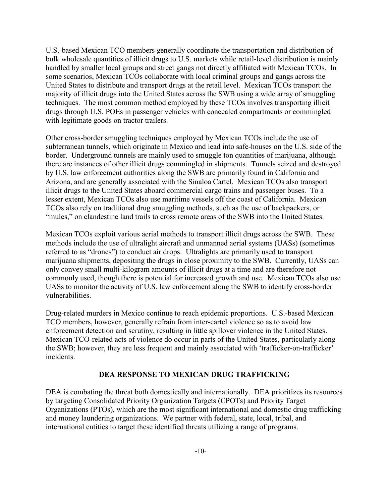U.S.-based Mexican TCO members generally coordinate the transportation and distribution of bulk wholesale quantities of illicit drugs to U.S. markets while retail-level distribution is mainly handled by smaller local groups and street gangs not directly affiliated with Mexican TCOs. In some scenarios, Mexican TCOs collaborate with local criminal groups and gangs across the United States to distribute and transport drugs at the retail level. Mexican TCOs transport the majority of illicit drugs into the United States across the SWB using a wide array of smuggling techniques. The most common method employed by these TCOs involves transporting illicit drugs through U.S. POEs in passenger vehicles with concealed compartments or commingled with legitimate goods on tractor trailers.

Other cross-border smuggling techniques employed by Mexican TCOs include the use of subterranean tunnels, which originate in Mexico and lead into safe-houses on the U.S. side of the border. Underground tunnels are mainly used to smuggle ton quantities of marijuana, although there are instances of other illicit drugs commingled in shipments. Tunnels seized and destroyed by U.S. law enforcement authorities along the SWB are primarily found in California and Arizona, and are generally associated with the Sinaloa Cartel. Mexican TCOs also transport illicit drugs to the United States aboard commercial cargo trains and passenger buses. To a lesser extent, Mexican TCOs also use maritime vessels off the coast of California. Mexican TCOs also rely on traditional drug smuggling methods, such as the use of backpackers, or "mules," on clandestine land trails to cross remote areas of the SWB into the United States.

Mexican TCOs exploit various aerial methods to transport illicit drugs across the SWB. These methods include the use of ultralight aircraft and unmanned aerial systems (UASs) (sometimes referred to as "drones") to conduct air drops. Ultralights are primarily used to transport marijuana shipments, depositing the drugs in close proximity to the SWB. Currently, UASs can only convey small multi-kilogram amounts of illicit drugs at a time and are therefore not commonly used, though there is potential for increased growth and use. Mexican TCOs also use UASs to monitor the activity of U.S. law enforcement along the SWB to identify cross-border vulnerabilities.

Drug-related murders in Mexico continue to reach epidemic proportions. U.S.-based Mexican TCO members, however, generally refrain from inter-cartel violence so as to avoid law enforcement detection and scrutiny, resulting in little spillover violence in the United States. Mexican TCO-related acts of violence do occur in parts of the United States, particularly along the SWB; however, they are less frequent and mainly associated with 'trafficker-on-trafficker' incidents.

#### **DEA RESPONSE TO MEXICAN DRUG TRAFFICKING**

DEA is combating the threat both domestically and internationally. DEA prioritizes its resources by targeting Consolidated Priority Organization Targets (CPOTs) and Priority Target Organizations (PTOs), which are the most significant international and domestic drug trafficking and money laundering organizations. We partner with federal, state, local, tribal, and international entities to target these identified threats utilizing a range of programs.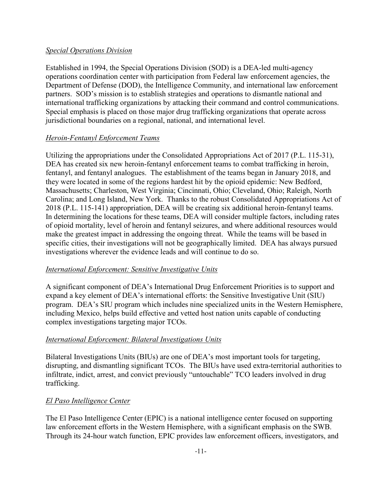## *Special Operations Division*

Established in 1994, the Special Operations Division (SOD) is a DEA-led multi-agency operations coordination center with participation from Federal law enforcement agencies, the Department of Defense (DOD), the Intelligence Community, and international law enforcement partners. SOD's mission is to establish strategies and operations to dismantle national and international trafficking organizations by attacking their command and control communications. Special emphasis is placed on those major drug trafficking organizations that operate across jurisdictional boundaries on a regional, national, and international level.

## *Heroin-Fentanyl Enforcement Teams*

Utilizing the appropriations under the Consolidated Appropriations Act of 2017 (P.L. 115-31), DEA has created six new heroin-fentanyl enforcement teams to combat trafficking in heroin, fentanyl, and fentanyl analogues. The establishment of the teams began in January 2018, and they were located in some of the regions hardest hit by the opioid epidemic: New Bedford, Massachusetts; Charleston, West Virginia; Cincinnati, Ohio; Cleveland, Ohio; Raleigh, North Carolina; and Long Island, New York. Thanks to the robust Consolidated Appropriations Act of 2018 (P.L. 115-141) appropriation, DEA will be creating six additional heroin-fentanyl teams. In determining the locations for these teams, DEA will consider multiple factors, including rates of opioid mortality, level of heroin and fentanyl seizures, and where additional resources would make the greatest impact in addressing the ongoing threat. While the teams will be based in specific cities, their investigations will not be geographically limited. DEA has always pursued investigations wherever the evidence leads and will continue to do so.

## *International Enforcement: Sensitive Investigative Units*

A significant component of DEA's International Drug Enforcement Priorities is to support and expand a key element of DEA's international efforts: the Sensitive Investigative Unit (SIU) program. DEA's SIU program which includes nine specialized units in the Western Hemisphere, including Mexico, helps build effective and vetted host nation units capable of conducting complex investigations targeting major TCOs.

## *International Enforcement: Bilateral Investigations Units*

Bilateral Investigations Units (BIUs) are one of DEA's most important tools for targeting, disrupting, and dismantling significant TCOs. The BIUs have used extra-territorial authorities to infiltrate, indict, arrest, and convict previously "untouchable" TCO leaders involved in drug trafficking.

## *El Paso Intelligence Center*

The El Paso Intelligence Center (EPIC) is a national intelligence center focused on supporting law enforcement efforts in the Western Hemisphere, with a significant emphasis on the SWB. Through its 24-hour watch function, EPIC provides law enforcement officers, investigators, and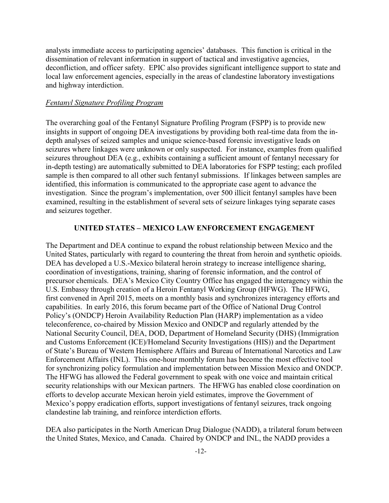analysts immediate access to participating agencies' databases. This function is critical in the dissemination of relevant information in support of tactical and investigative agencies, deconfliction, and officer safety. EPIC also provides significant intelligence support to state and local law enforcement agencies, especially in the areas of clandestine laboratory investigations and highway interdiction.

#### *Fentanyl Signature Profiling Program*

The overarching goal of the Fentanyl Signature Profiling Program (FSPP) is to provide new insights in support of ongoing DEA investigations by providing both real-time data from the indepth analyses of seized samples and unique science-based forensic investigative leads on seizures where linkages were unknown or only suspected. For instance, examples from qualified seizures throughout DEA (e.g., exhibits containing a sufficient amount of fentanyl necessary for in-depth testing) are automatically submitted to DEA laboratories for FSPP testing; each profiled sample is then compared to all other such fentanyl submissions. If linkages between samples are identified, this information is communicated to the appropriate case agent to advance the investigation. Since the program's implementation, over 500 illicit fentanyl samples have been examined, resulting in the establishment of several sets of seizure linkages tying separate cases and seizures together.

#### **UNITED STATES – MEXICO LAW ENFORCEMENT ENGAGEMENT**

The Department and DEA continue to expand the robust relationship between Mexico and the United States, particularly with regard to countering the threat from heroin and synthetic opioids. DEA has developed a U.S.-Mexico bilateral heroin strategy to increase intelligence sharing, coordination of investigations, training, sharing of forensic information, and the control of precursor chemicals. DEA's Mexico City Country Office has engaged the interagency within the U.S. Embassy through creation of a Heroin Fentanyl Working Group (HFWG). The HFWG, first convened in April 2015, meets on a monthly basis and synchronizes interagency efforts and capabilities. In early 2016, this forum became part of the Office of National Drug Control Policy's (ONDCP) Heroin Availability Reduction Plan (HARP) implementation as a video teleconference, co-chaired by Mission Mexico and ONDCP and regularly attended by the National Security Council, DEA, DOD, Department of Homeland Security (DHS) (Immigration and Customs Enforcement (ICE)/Homeland Security Investigations (HIS)) and the Department of State's Bureau of Western Hemisphere Affairs and Bureau of International Narcotics and Law Enforcement Affairs (INL). This one-hour monthly forum has become the most effective tool for synchronizing policy formulation and implementation between Mission Mexico and ONDCP. The HFWG has allowed the Federal government to speak with one voice and maintain critical security relationships with our Mexican partners. The HFWG has enabled close coordination on efforts to develop accurate Mexican heroin yield estimates, improve the Government of Mexico's poppy eradication efforts, support investigations of fentanyl seizures, track ongoing clandestine lab training, and reinforce interdiction efforts.

DEA also participates in the North American Drug Dialogue (NADD), a trilateral forum between the United States, Mexico, and Canada. Chaired by ONDCP and INL, the NADD provides a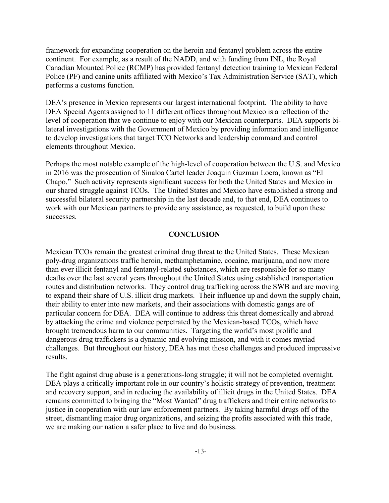framework for expanding cooperation on the heroin and fentanyl problem across the entire continent. For example, as a result of the NADD, and with funding from INL, the Royal Canadian Mounted Police (RCMP) has provided fentanyl detection training to Mexican Federal Police (PF) and canine units affiliated with Mexico's Tax Administration Service (SAT), which performs a customs function.

DEA's presence in Mexico represents our largest international footprint. The ability to have DEA Special Agents assigned to 11 different offices throughout Mexico is a reflection of the level of cooperation that we continue to enjoy with our Mexican counterparts. DEA supports bilateral investigations with the Government of Mexico by providing information and intelligence to develop investigations that target TCO Networks and leadership command and control elements throughout Mexico.

Perhaps the most notable example of the high-level of cooperation between the U.S. and Mexico in 2016 was the prosecution of Sinaloa Cartel leader Joaquin Guzman Loera, known as "El Chapo." Such activity represents significant success for both the United States and Mexico in our shared struggle against TCOs. The United States and Mexico have established a strong and successful bilateral security partnership in the last decade and, to that end, DEA continues to work with our Mexican partners to provide any assistance, as requested, to build upon these successes.

#### **CONCLUSION**

Mexican TCOs remain the greatest criminal drug threat to the United States. These Mexican poly-drug organizations traffic heroin, methamphetamine, cocaine, marijuana, and now more than ever illicit fentanyl and fentanyl-related substances, which are responsible for so many deaths over the last several years throughout the United States using established transportation routes and distribution networks. They control drug trafficking across the SWB and are moving to expand their share of U.S. illicit drug markets. Their influence up and down the supply chain, their ability to enter into new markets, and their associations with domestic gangs are of particular concern for DEA. DEA will continue to address this threat domestically and abroad by attacking the crime and violence perpetrated by the Mexican-based TCOs, which have brought tremendous harm to our communities. Targeting the world's most prolific and dangerous drug traffickers is a dynamic and evolving mission, and with it comes myriad challenges. But throughout our history, DEA has met those challenges and produced impressive results.

The fight against drug abuse is a generations-long struggle; it will not be completed overnight. DEA plays a critically important role in our country's holistic strategy of prevention, treatment and recovery support, and in reducing the availability of illicit drugs in the United States. DEA remains committed to bringing the "Most Wanted" drug traffickers and their entire networks to justice in cooperation with our law enforcement partners. By taking harmful drugs off of the street, dismantling major drug organizations, and seizing the profits associated with this trade, we are making our nation a safer place to live and do business.